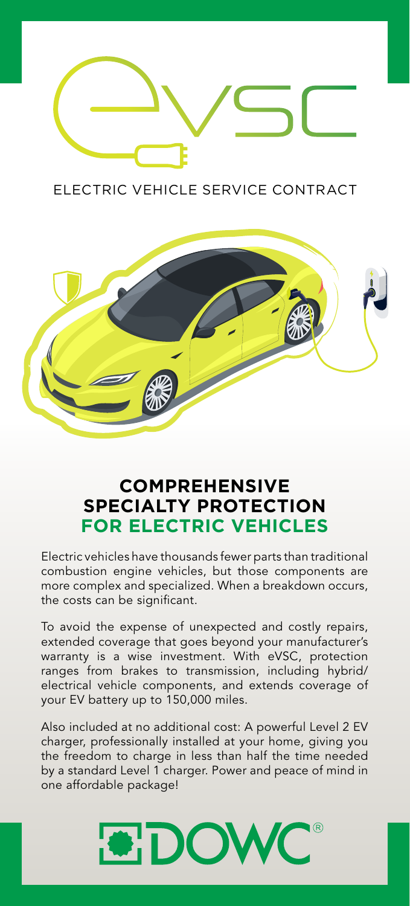

ELECTRIC VEHICLE SERVICE CONTRACT



## **COMPREHENSIVE SPECIALTY PROTECTION FOR ELECTRIC VEHICLES**

Electric vehicles have thousands fewer parts than traditional combustion engine vehicles, but those components are more complex and specialized. When a breakdown occurs, the costs can be significant.

To avoid the expense of unexpected and costly repairs, extended coverage that goes beyond your manufacturer's warranty is a wise investment. With eVSC, protection ranges from brakes to transmission, including hybrid/ electrical vehicle components, and extends coverage of your EV battery up to 150,000 miles.

Also included at no additional cost: A powerful Level 2 EV charger, professionally installed at your home, giving you the freedom to charge in less than half the time needed by a standard Level 1 charger. Power and peace of mind in one affordable package!